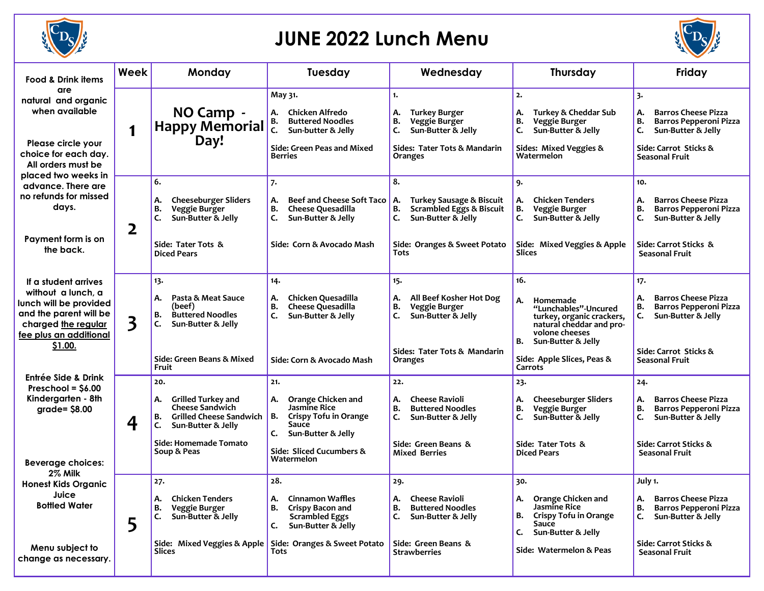

## **JUNE 2022 Lunch Menu**



| <b>Food &amp; Drink items</b>                                                                                                                                                                                                        | Week | Monday                                                                                                                                                                       | Tuesday                                                                                                                                                                                        | Wednesday                                                                                                                                                        | Thursday                                                                                                                                                                                             | Friday                                                                                                                                                        |
|--------------------------------------------------------------------------------------------------------------------------------------------------------------------------------------------------------------------------------------|------|------------------------------------------------------------------------------------------------------------------------------------------------------------------------------|------------------------------------------------------------------------------------------------------------------------------------------------------------------------------------------------|------------------------------------------------------------------------------------------------------------------------------------------------------------------|------------------------------------------------------------------------------------------------------------------------------------------------------------------------------------------------------|---------------------------------------------------------------------------------------------------------------------------------------------------------------|
| are<br>natural and organic<br>when available<br>Please circle your<br>choice for each day.<br>All orders must be<br>placed two weeks in<br>advance. There are<br>no refunds for missed<br>days.<br>Payment form is on<br>the back.   | 1    | NO Camp -<br><b>Happy Memorial</b><br>Day!                                                                                                                                   | May 31.<br>Chicken Alfredo<br>А.<br><b>Buttered Noodles</b><br>В.<br>C.<br>Sun-butter & Jelly<br>Side: Green Peas and Mixed<br><b>Berries</b>                                                  | 1.<br>А.<br><b>Turkey Burger</b><br>в.<br>Veggie Burger<br>C.<br>Sun-Butter & Jelly<br>Sides: Tater Tots & Mandarin<br>Oranges                                   | 2.<br>А.<br><b>Turkey &amp; Cheddar Sub</b><br>В.<br>Veggie Burger<br>C.<br>Sun-Butter & Jelly<br>Sides: Mixed Veggies &<br>Watermelon                                                               | 3.<br><b>Barros Cheese Pizza</b><br>Α.<br>В.<br><b>Barros Pepperoni Pizza</b><br>C.<br>Sun-Butter & Jelly<br>Side: Carrot Sticks &<br>Seasonal Fruit          |
|                                                                                                                                                                                                                                      | 2    | 6.<br><b>Cheeseburger Sliders</b><br>Α.<br>в.<br>Veggie Burger<br>C.<br>Sun-Butter & Jelly<br>Side: Tater Tots &<br><b>Diced Pears</b>                                       | 7.<br><b>Beef and Cheese Soft Taco</b><br>А.<br><b>Cheese Quesadilla</b><br>в.<br>Sun-Butter & Jelly<br>C.<br>Side: Corn & Avocado Mash                                                        | 8.<br><b>Turkey Sausage &amp; Biscuit</b><br>А.<br><b>Scrambled Eggs &amp; Biscuit</b><br>в.<br>Sun-Butter & Jelly<br>C.<br>Side: Oranges & Sweet Potato<br>Tots | 9.<br><b>Chicken Tenders</b><br>А.<br>В.<br>Veggie Burger<br>Sun-Butter & Jelly<br>Side: Mixed Veggies & Apple<br>Slices                                                                             | 10.<br>А.<br><b>Barros Cheese Pizza</b><br>В.<br>Barros Pepperoni Pizza<br>C.<br>Sun-Butter & Jelly<br>Side: Carrot Sticks &<br>Seasonal Fruit                |
| If a student arrives<br>without a lunch, a<br>lunch will be provided<br>and the parent will be<br>charged the regular<br>fee plus an additional<br>\$1.00.                                                                           | 3    | 13.<br>Pasta & Meat Sauce<br>А.<br>(beef)<br><b>Buttered Noodles</b><br>В.<br>C.<br>Sun-Butter & Jelly<br>Side: Green Beans & Mixed<br>Fruit                                 | 14.<br>Chicken Quesadilla<br>А.<br>В.<br><b>Cheese Quesadilla</b><br>c.<br>Sun-Butter & Jelly<br>Side: Corn & Avocado Mash                                                                     | 15.<br>All Beef Kosher Hot Dog<br>А.<br>в.<br>Veggie Burger<br>C.<br>Sun-Butter & Jelly<br>Sides: Tater Tots & Mandarin<br>Oranges                               | 16.<br>А.<br>Homemade<br>"Lunchables"-Uncured<br>turkey, organic crackers,<br>natural cheddar and pro-<br>volone cheeses<br>В.<br>Sun-Butter & Jelly<br>Side: Apple Slices, Peas &<br><b>Carrots</b> | 17.<br><b>Barros Cheese Pizza</b><br>А.<br>В.<br>Barros Pepperoni Pizza<br>Sun-Butter & Jelly<br>c.<br>Side: Carrot Sticks &<br>Seasonal Fruit                |
| Entrée Side & Drink<br>Preschool = $$6.00$<br>Kindergarten - 8th<br>$grade = $8.00$<br><b>Beverage choices:</b><br>2% Milk<br><b>Honest Kids Organic</b><br>Juice<br><b>Bottled Water</b><br>Menu subject to<br>change as necessary. | 4    | 20.<br><b>Grilled Turkey and</b><br>А.<br><b>Cheese Sandwich</b><br><b>Grilled Cheese Sandwich</b><br>в.<br>Sun-Butter & Jelly<br>c.<br>Side: Homemade Tomato<br>Soup & Peas | 21.<br>Orange Chicken and<br>А.<br>Jasmine Rice<br>В.<br>Crispy Tofu in Orange<br>Sauce<br>Sun-Butter & Jelly<br>C.<br>Side: Sliced Cucumbers &<br>Watermelon                                  | 22.<br><b>Cheese Ravioli</b><br>А.<br>В.<br><b>Buttered Noodles</b><br>Sun-Butter & Jelly<br>C.<br>Side: Green Beans &<br><b>Mixed Berries</b>                   | 23.<br><b>Cheeseburger Sliders</b><br>А.<br>В.<br>Veggie Burger<br>Sun-Butter & Jelly<br>c.<br>Side: Tater Tots &<br><b>Diced Pears</b>                                                              | 24.<br><b>Barros Cheese Pizza</b><br>Α.<br>В.<br><b>Barros Pepperoni Pizza</b><br>c.<br>Sun-Butter & Jelly<br>Side: Carrot Sticks &<br><b>Seasonal Fruit</b>  |
|                                                                                                                                                                                                                                      | 5    | 27.<br><b>Chicken Tenders</b><br>А.<br><b>Veggie Burger</b><br>В.<br>Sun-Butter & Jelly<br>c.<br>Slices                                                                      | 28.<br><b>Cinnamon Waffles</b><br>Α.<br>В.<br><b>Crispy Bacon and</b><br><b>Scrambled Eggs</b><br>Sun-Butter & Jelly<br>c.<br>Side: Mixed Veggies & Apple Side: Oranges & Sweet Potato<br>Tots | 29.<br><b>Cheese Ravioli</b><br>А.<br><b>Buttered Noodles</b><br>В.<br>C.<br>Sun-Butter & Jelly<br>Side: Green Beans &<br><b>Strawberries</b>                    | 30.<br>Orange Chicken and<br>А.<br>Jasmine Rice<br><b>Crispy Tofu in Orange</b><br>В.<br>Sauce<br>C.<br>Sun-Butter & Jelly<br>Side: Watermelon & Peas                                                | July 1.<br><b>Barros Cheese Pizza</b><br>А.<br><b>Barros Pepperoni Pizza</b><br>В.<br>C. Sun-Butter & Jelly<br>Side: Carrot Sticks &<br><b>Seasonal Fruit</b> |